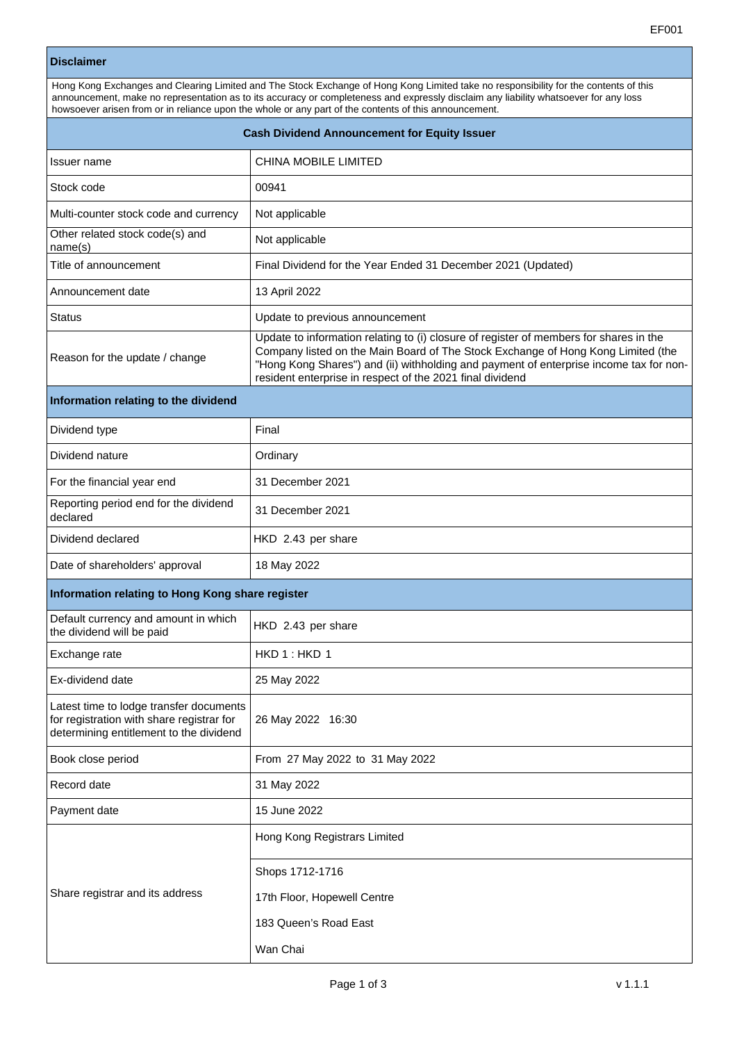## **Disclaimer**

| Hong Kong Exchanges and Clearing Limited and The Stock Exchange of Hong Kong Limited take no responsibility for the contents of this |
|--------------------------------------------------------------------------------------------------------------------------------------|
| announcement, make no representation as to its accuracy or completeness and expressly disclaim any liability whatsoever for any loss |
| howsoever arisen from or in reliance upon the whole or any part of the contents of this announcement.                                |
|                                                                                                                                      |

| <b>Cash Dividend Announcement for Equity Issuer</b> |                                                                                                                                                                                                                                                                                                                                   |  |  |  |
|-----------------------------------------------------|-----------------------------------------------------------------------------------------------------------------------------------------------------------------------------------------------------------------------------------------------------------------------------------------------------------------------------------|--|--|--|
| Issuer name                                         | <b>CHINA MOBILE LIMITED</b>                                                                                                                                                                                                                                                                                                       |  |  |  |
| Stock code                                          | 00941                                                                                                                                                                                                                                                                                                                             |  |  |  |
| Multi-counter stock code and currency               | Not applicable                                                                                                                                                                                                                                                                                                                    |  |  |  |
| Other related stock code(s) and<br>name(s)          | Not applicable                                                                                                                                                                                                                                                                                                                    |  |  |  |
| Title of announcement                               | Final Dividend for the Year Ended 31 December 2021 (Updated)                                                                                                                                                                                                                                                                      |  |  |  |
| Announcement date                                   | 13 April 2022                                                                                                                                                                                                                                                                                                                     |  |  |  |
| <b>Status</b>                                       | Update to previous announcement                                                                                                                                                                                                                                                                                                   |  |  |  |
| Reason for the update / change                      | Update to information relating to (i) closure of register of members for shares in the<br>Company listed on the Main Board of The Stock Exchange of Hong Kong Limited (the<br>"Hong Kong Shares") and (ii) withholding and payment of enterprise income tax for non-<br>resident enterprise in respect of the 2021 final dividend |  |  |  |
| Information relating to the dividend                |                                                                                                                                                                                                                                                                                                                                   |  |  |  |

| Dividend type                                     | Final              |
|---------------------------------------------------|--------------------|
| Dividend nature                                   | Ordinary           |
| For the financial year end                        | 31 December 2021   |
| Reporting period end for the dividend<br>declared | 31 December 2021   |
| Dividend declared                                 | HKD 2.43 per share |
| Date of shareholders' approval                    | 18 May 2022        |

## **Information relating to Hong Kong share register**

| Default currency and amount in which<br>the dividend will be paid                                                               | HKD 2.43 per share              |  |  |  |  |
|---------------------------------------------------------------------------------------------------------------------------------|---------------------------------|--|--|--|--|
| Exchange rate                                                                                                                   | HKD1:HKD1                       |  |  |  |  |
| Ex-dividend date                                                                                                                | 25 May 2022                     |  |  |  |  |
| Latest time to lodge transfer documents<br>for registration with share registrar for<br>determining entitlement to the dividend | 26 May 2022 16:30               |  |  |  |  |
| Book close period                                                                                                               | From 27 May 2022 to 31 May 2022 |  |  |  |  |
| Record date                                                                                                                     | 31 May 2022                     |  |  |  |  |
| Payment date                                                                                                                    | 15 June 2022                    |  |  |  |  |
| Share registrar and its address                                                                                                 | Hong Kong Registrars Limited    |  |  |  |  |
|                                                                                                                                 | Shops 1712-1716                 |  |  |  |  |
|                                                                                                                                 | 17th Floor, Hopewell Centre     |  |  |  |  |
|                                                                                                                                 | 183 Queen's Road East           |  |  |  |  |
|                                                                                                                                 | Wan Chai                        |  |  |  |  |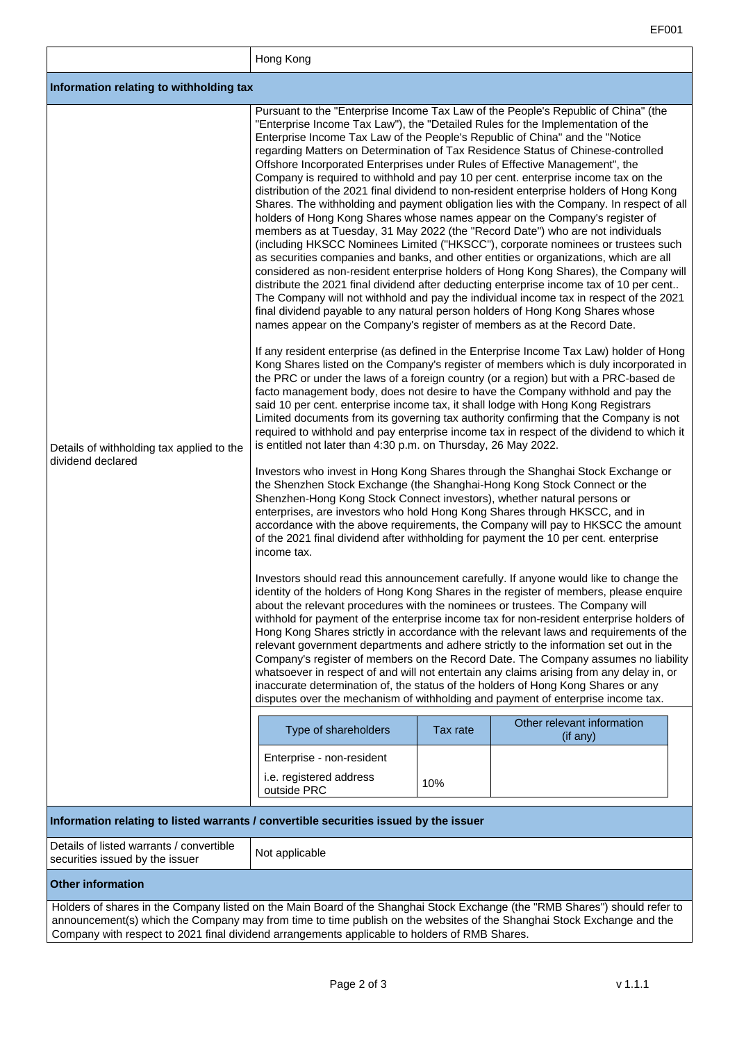|                                                                                                                                                                                                                                                                                                                                                        | Hong Kong                                                                                                                                                                                                                                                                                                                                                |                                                                                                                                                                                                                                                                                                                                                                                                                                                                                                                                                                                                                                                                                                                                                                                                                                                                                                                                                                                                                                                                                                                                                                                                                                                                                                                                                                                                                                                                                                                                                                                                                                                                                                                                                                                                                                                                                                                                                                                                                                                                                                                                                                                                                                                                                                                                                                                                                                                                                                                                                                                                                                                                                                                                                                                                                                                                                                                                                                                                                                                                                                                                                                                                                                                                               |                                        |  |  |  |
|--------------------------------------------------------------------------------------------------------------------------------------------------------------------------------------------------------------------------------------------------------------------------------------------------------------------------------------------------------|----------------------------------------------------------------------------------------------------------------------------------------------------------------------------------------------------------------------------------------------------------------------------------------------------------------------------------------------------------|-------------------------------------------------------------------------------------------------------------------------------------------------------------------------------------------------------------------------------------------------------------------------------------------------------------------------------------------------------------------------------------------------------------------------------------------------------------------------------------------------------------------------------------------------------------------------------------------------------------------------------------------------------------------------------------------------------------------------------------------------------------------------------------------------------------------------------------------------------------------------------------------------------------------------------------------------------------------------------------------------------------------------------------------------------------------------------------------------------------------------------------------------------------------------------------------------------------------------------------------------------------------------------------------------------------------------------------------------------------------------------------------------------------------------------------------------------------------------------------------------------------------------------------------------------------------------------------------------------------------------------------------------------------------------------------------------------------------------------------------------------------------------------------------------------------------------------------------------------------------------------------------------------------------------------------------------------------------------------------------------------------------------------------------------------------------------------------------------------------------------------------------------------------------------------------------------------------------------------------------------------------------------------------------------------------------------------------------------------------------------------------------------------------------------------------------------------------------------------------------------------------------------------------------------------------------------------------------------------------------------------------------------------------------------------------------------------------------------------------------------------------------------------------------------------------------------------------------------------------------------------------------------------------------------------------------------------------------------------------------------------------------------------------------------------------------------------------------------------------------------------------------------------------------------------------------------------------------------------------------------------------------------------|----------------------------------------|--|--|--|
| Information relating to withholding tax                                                                                                                                                                                                                                                                                                                |                                                                                                                                                                                                                                                                                                                                                          |                                                                                                                                                                                                                                                                                                                                                                                                                                                                                                                                                                                                                                                                                                                                                                                                                                                                                                                                                                                                                                                                                                                                                                                                                                                                                                                                                                                                                                                                                                                                                                                                                                                                                                                                                                                                                                                                                                                                                                                                                                                                                                                                                                                                                                                                                                                                                                                                                                                                                                                                                                                                                                                                                                                                                                                                                                                                                                                                                                                                                                                                                                                                                                                                                                                                               |                                        |  |  |  |
| Details of withholding tax applied to the<br>dividend declared                                                                                                                                                                                                                                                                                         | Pursuant to the "Enterprise Income Tax Law of the People's Republic of China" (the<br>"Enterprise Income Tax Law"), the "Detailed Rules for the Implementation of the<br>Enterprise Income Tax Law of the People's Republic of China" and the "Notice<br>income tax.<br>disputes over the mechanism of withholding and payment of enterprise income tax. | regarding Matters on Determination of Tax Residence Status of Chinese-controlled<br>Offshore Incorporated Enterprises under Rules of Effective Management", the<br>Company is required to withhold and pay 10 per cent. enterprise income tax on the<br>distribution of the 2021 final dividend to non-resident enterprise holders of Hong Kong<br>Shares. The withholding and payment obligation lies with the Company. In respect of all<br>holders of Hong Kong Shares whose names appear on the Company's register of<br>members as at Tuesday, 31 May 2022 (the "Record Date") who are not individuals<br>(including HKSCC Nominees Limited ("HKSCC"), corporate nominees or trustees such<br>as securities companies and banks, and other entities or organizations, which are all<br>considered as non-resident enterprise holders of Hong Kong Shares), the Company will<br>distribute the 2021 final dividend after deducting enterprise income tax of 10 per cent<br>The Company will not withhold and pay the individual income tax in respect of the 2021<br>final dividend payable to any natural person holders of Hong Kong Shares whose<br>names appear on the Company's register of members as at the Record Date.<br>If any resident enterprise (as defined in the Enterprise Income Tax Law) holder of Hong<br>Kong Shares listed on the Company's register of members which is duly incorporated in<br>the PRC or under the laws of a foreign country (or a region) but with a PRC-based de<br>facto management body, does not desire to have the Company withhold and pay the<br>said 10 per cent. enterprise income tax, it shall lodge with Hong Kong Registrars<br>Limited documents from its governing tax authority confirming that the Company is not<br>required to withhold and pay enterprise income tax in respect of the dividend to which it<br>is entitled not later than 4:30 p.m. on Thursday, 26 May 2022.<br>Investors who invest in Hong Kong Shares through the Shanghai Stock Exchange or<br>the Shenzhen Stock Exchange (the Shanghai-Hong Kong Stock Connect or the<br>Shenzhen-Hong Kong Stock Connect investors), whether natural persons or<br>enterprises, are investors who hold Hong Kong Shares through HKSCC, and in<br>accordance with the above requirements, the Company will pay to HKSCC the amount<br>of the 2021 final dividend after withholding for payment the 10 per cent. enterprise<br>Investors should read this announcement carefully. If anyone would like to change the<br>identity of the holders of Hong Kong Shares in the register of members, please enquire<br>about the relevant procedures with the nominees or trustees. The Company will<br>withhold for payment of the enterprise income tax for non-resident enterprise holders of<br>Hong Kong Shares strictly in accordance with the relevant laws and requirements of the<br>relevant government departments and adhere strictly to the information set out in the<br>Company's register of members on the Record Date. The Company assumes no liability<br>whatsoever in respect of and will not entertain any claims arising from any delay in, or<br>inaccurate determination of, the status of the holders of Hong Kong Shares or any |                                        |  |  |  |
|                                                                                                                                                                                                                                                                                                                                                        | Type of shareholders                                                                                                                                                                                                                                                                                                                                     | Tax rate                                                                                                                                                                                                                                                                                                                                                                                                                                                                                                                                                                                                                                                                                                                                                                                                                                                                                                                                                                                                                                                                                                                                                                                                                                                                                                                                                                                                                                                                                                                                                                                                                                                                                                                                                                                                                                                                                                                                                                                                                                                                                                                                                                                                                                                                                                                                                                                                                                                                                                                                                                                                                                                                                                                                                                                                                                                                                                                                                                                                                                                                                                                                                                                                                                                                      | Other relevant information<br>(if any) |  |  |  |
|                                                                                                                                                                                                                                                                                                                                                        | Enterprise - non-resident                                                                                                                                                                                                                                                                                                                                |                                                                                                                                                                                                                                                                                                                                                                                                                                                                                                                                                                                                                                                                                                                                                                                                                                                                                                                                                                                                                                                                                                                                                                                                                                                                                                                                                                                                                                                                                                                                                                                                                                                                                                                                                                                                                                                                                                                                                                                                                                                                                                                                                                                                                                                                                                                                                                                                                                                                                                                                                                                                                                                                                                                                                                                                                                                                                                                                                                                                                                                                                                                                                                                                                                                                               |                                        |  |  |  |
|                                                                                                                                                                                                                                                                                                                                                        | i.e. registered address<br>outside PRC                                                                                                                                                                                                                                                                                                                   | 10%                                                                                                                                                                                                                                                                                                                                                                                                                                                                                                                                                                                                                                                                                                                                                                                                                                                                                                                                                                                                                                                                                                                                                                                                                                                                                                                                                                                                                                                                                                                                                                                                                                                                                                                                                                                                                                                                                                                                                                                                                                                                                                                                                                                                                                                                                                                                                                                                                                                                                                                                                                                                                                                                                                                                                                                                                                                                                                                                                                                                                                                                                                                                                                                                                                                                           |                                        |  |  |  |
| Information relating to listed warrants / convertible securities issued by the issuer                                                                                                                                                                                                                                                                  |                                                                                                                                                                                                                                                                                                                                                          |                                                                                                                                                                                                                                                                                                                                                                                                                                                                                                                                                                                                                                                                                                                                                                                                                                                                                                                                                                                                                                                                                                                                                                                                                                                                                                                                                                                                                                                                                                                                                                                                                                                                                                                                                                                                                                                                                                                                                                                                                                                                                                                                                                                                                                                                                                                                                                                                                                                                                                                                                                                                                                                                                                                                                                                                                                                                                                                                                                                                                                                                                                                                                                                                                                                                               |                                        |  |  |  |
| Details of listed warrants / convertible<br>securities issued by the issuer                                                                                                                                                                                                                                                                            | Not applicable                                                                                                                                                                                                                                                                                                                                           |                                                                                                                                                                                                                                                                                                                                                                                                                                                                                                                                                                                                                                                                                                                                                                                                                                                                                                                                                                                                                                                                                                                                                                                                                                                                                                                                                                                                                                                                                                                                                                                                                                                                                                                                                                                                                                                                                                                                                                                                                                                                                                                                                                                                                                                                                                                                                                                                                                                                                                                                                                                                                                                                                                                                                                                                                                                                                                                                                                                                                                                                                                                                                                                                                                                                               |                                        |  |  |  |
| <b>Other information</b>                                                                                                                                                                                                                                                                                                                               |                                                                                                                                                                                                                                                                                                                                                          |                                                                                                                                                                                                                                                                                                                                                                                                                                                                                                                                                                                                                                                                                                                                                                                                                                                                                                                                                                                                                                                                                                                                                                                                                                                                                                                                                                                                                                                                                                                                                                                                                                                                                                                                                                                                                                                                                                                                                                                                                                                                                                                                                                                                                                                                                                                                                                                                                                                                                                                                                                                                                                                                                                                                                                                                                                                                                                                                                                                                                                                                                                                                                                                                                                                                               |                                        |  |  |  |
| Holders of shares in the Company listed on the Main Board of the Shanghai Stock Exchange (the "RMB Shares") should refer to<br>announcement(s) which the Company may from time to time publish on the websites of the Shanghai Stock Exchange and the<br>Company with respect to 2021 final dividend arrangements applicable to holders of RMB Shares. |                                                                                                                                                                                                                                                                                                                                                          |                                                                                                                                                                                                                                                                                                                                                                                                                                                                                                                                                                                                                                                                                                                                                                                                                                                                                                                                                                                                                                                                                                                                                                                                                                                                                                                                                                                                                                                                                                                                                                                                                                                                                                                                                                                                                                                                                                                                                                                                                                                                                                                                                                                                                                                                                                                                                                                                                                                                                                                                                                                                                                                                                                                                                                                                                                                                                                                                                                                                                                                                                                                                                                                                                                                                               |                                        |  |  |  |

EF001